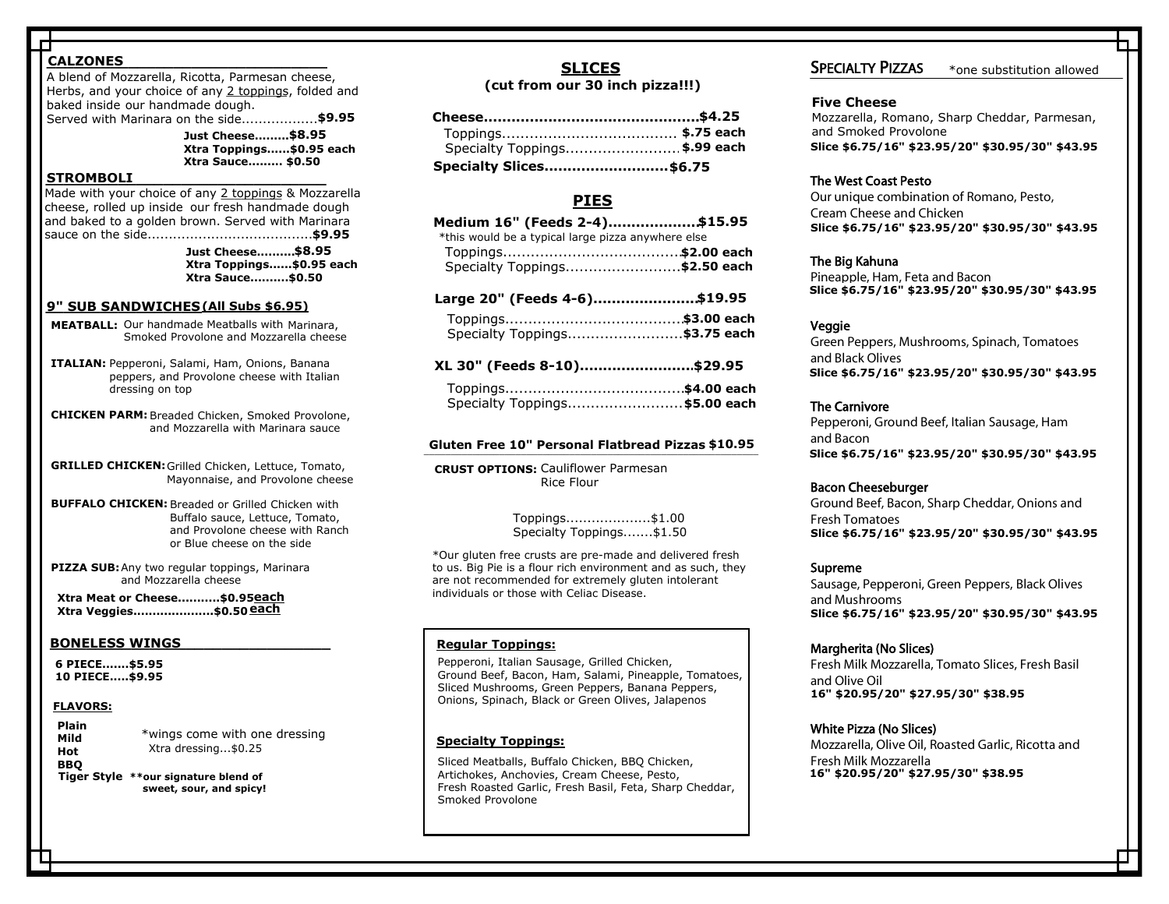# **\_\_\_\_\_\_\_\_\_\_\_\_\_\_\_\_\_\_\_\_\_\_\_\_\_\_\_\_\_\_\_ CALZONES**

**Served with Marinara on the side...................\$9.95** A blend of Mozzarella, Ricotta, Parmesan cheese, Herbs, and your choice of any <u>2 toppings,</u> folded and baked inside our handmade dough.

A blend of Mozzarella, Ricotta, Parmesan Cheese **Xtra Toppings......\$0.95 each** and Herbs, folded over and baked to a golden **Xtra Sauce......... \$0.50 Just Cheese..........\$8.25 \$8.95**

#### brown, served with Marinara Sauce on the side **\_\_\_\_\_\_\_\_\_\_\_\_\_\_\_\_\_\_\_\_\_\_\_\_\_\_\_\_\_\_\_ STROMBOLI**

Made with your choice of any 2 toppings & Mozzarella Xtra Toppings .............................................................\$0.95 **\$0.95 each** sauce on the side........................................ **\$9.25** Xtra Sauce ....................................................................\$0.50 **\$0.50 Just Cheese..........\$8.25 \$9.95\$8.95 Just Cheese.............\$7.95** and baked to a golden brown. Served with Marinara cheese, rolled up inside our fresh handmade dough

**Xtra Toppings......\$0.95 each Xtra Sauce..........\$0.50**

# STROMBOLIS **\_\_\_\_\_\_\_\_\_\_\_\_\_\_\_\_\_\_\_\_\_\_\_\_\_\_\_\_\_\_\_\_\_ 9" SUB SANDWICHES (ALL SUBS ARE \$6.25) \$6.50 (All Subs are \$6.50) (All Subs \$6.95)**

- Smoked Provolone and Mozzarella cheese **MEATBALL:** Our handmade Meatballs with Marinara,
- $\overline{\phantom{a}}$ **ITALIAN:** Pepperoni, Salami, Ham, Onions, Banana<br>Peppersonal Prevelans shoose with Italian  $\alpha$  topping on top **Explorers, and Provolone cheese with Italian**<br>peppers, and Provolone cheese with Italian dressing on top
- CHICKEN PARM: Breaded Chicken, Smoked Provolone, and Mozzarella with Marinara sauce
- **GRILLED CHICKEN:** Grilled Chicken, Lettuce, Tomato, Mayonnaise, and Provolone cheese
- Meatball: Meatballs, Marinara, Smoked Provolone **BUFFALO CHICKEN:** Breaded or Grilled Chicken with or Blue cheese on the side Buffalo sauce, Lettuce, Tomato, and Provolone cheese with Ranch
- and Mozzarella cheese **PIZZA SUB:** Any two regular toppings, Marinara

**Xtra Meat or Cheese...........\$0.95<u>each</u> Xtra Veggies.....................\$0.50 each**

# Mayonnaise and Provolone Cheese **ROASTED WINGS \_\_\_\_\_\_\_\_\_\_\_\_\_\_\_\_\_\_\_\_\_\_\_\_\_\_\_\_\_\_\_ BONELESS WINGS**

Buffalo Chicken: Breaded or Grilled Chicken **10 PIECE.....\$9.95 6 PIECE.......\$5.95**

# Provolone Cheese with Ranch or Blue Cheese on **FLAVORS:**

**Plain Hot** Xtra dressing...\$0.25 BBQ<br>Tiger Style \*\*our signature blend of **sweet, sour, and spicy! Mild Hot Garlic Parm BBQ** \*wings come with one dressing

# SLICES **SLICES**

# (cut from our 30 inch pizza!!!)

| Specialty Toppings \$.99 each  |  |
|--------------------------------|--|
| <b>Specialty Slices \$6.75</b> |  |

# Toppings.................................................. \$0.50 **\$0.50 each \$0.65 each \$5.50/\$6.00Specialty Slices........................... \$6.50 \$6.75**

#### $PIES$ **PIES**

| <b>PIES</b>                                                                                                           |  |  |
|-----------------------------------------------------------------------------------------------------------------------|--|--|
| Medium 16" (Feeds 2-4)\$15.95<br>*this would be a typical large pizza anywhere else<br>Specialty Toppings \$2.50 each |  |  |
| Large 20" (Feeds 4-6)\$19.95                                                                                          |  |  |
| Specialty Toppings \$3.75 each                                                                                        |  |  |
| XL 30" (Feeds 8-10)\$29.95                                                                                            |  |  |
| Specialty Toppings \$5.00 each                                                                                        |  |  |
| <b>Sluten Free 10" Personal Flatbread Pizzas \$10.95</b>                                                              |  |  |
| <b>CRUST OPTIONS: Cauliflower Parmesan</b><br><b>Rice Flour</b>                                                       |  |  |

| Large 20" (Feeds 4-6)\$19.95  |  |
|-------------------------------|--|
|                               |  |
| Specialty Toppings\$3.75 each |  |
| XL 30" (Feeds 8-10)\$29.95    |  |

| Specialty Toppings\$3.75 each  |  |
|--------------------------------|--|
| XL 30" (Feeds 8-10)\$29.95     |  |
|                                |  |
| Specialty Toppings \$5.00 each |  |

#### **\$15.95** Gluten Free 10" Personal Flatbread Pizzas \$10.95

**CRUST OPTIONS:** Cauliflower Parmesan Toppings ........................................................\$2 Rice Flour

Specialty Toppings.............................. \$2.75 **\$3.50 each** Toppings....................\$1.00 **\$2 each\$2.95 each 0 b b b b c** Specialty Toppings.......\$1.50

to us. Big Pie is a flour rich environment and as such, they<br>are not recommended for extremely gluten intelerant individuals or those with Celiac Disease. **\$4 each\$5 each** \*Our gluten free crusts are pre-made and delivered fresh are not recommended for extremely gluten intolerant

# **Regular Toppings:**

Ground Beer, Bacon, Ham, Salami, Pineappie, Tomatoes<br>Sliced Mushrooms, Green Peppers, Banana Peppers, Chicken, Ground Beef, Bacon, Ham, Salami, Pineapple, Onions, Spinach, Black or Green Olives, Jalapenos Pepperoni, Italian Sausage, Grilled Chicken, Ground Beef, Bacon, Ham, Salami, Pineapple, Tomatoes,

 $S_{\rm{max}}$   $\sim$   $S_{\rm{max}}$   $\sim$   $S_{\rm{max}}$   $\sim$   $S_{\rm{max}}$   $\sim$   $S_{\rm{max}}$   $\sim$   $S_{\rm{max}}$ 

# **Specialty Toppings:**

Smoked Provolone.

**Epectual Coppinger**<br>Sliced Meatballs, Buffalo Chicken, BBQ Chicken, Artichokes, Anchovies, Cream Cheese, Pesto, Indial India**n Indian 16° \$20.95/20° \$2**<br>Fresh Roasted Garlic, Fresh Basil, Feta, Sharp Cheddar, Indian Indian Indian Indian Smoked Provolone, Cream Cheese, Pesto, Pesto, Pesto, Pesto, Pesto, Pesto, Pesto, Pesto, Pesto, Pesto, Pesto, P Artichokes, Anchovies, Cream Cheese, Pesto,

Smoked Provolone, Sun-dried Tomatoes

# SPECIALTY PIZZAS

\*one substitution allowed

# **Five Cheese**

Mozzarella, Romano, Sharp Cheddar, Parmesan, and Smoked Provolone Slice \$6.75/16" \$23.95/20" \$30.95/30" \$43.95

# The West Coast Pesto

Our unique combination of Romano, Pesto, Cream Cheese and Chicken Slice \$6.75/16" \$23.95/20" \$30.95/30" \$43.95<br>The West Coast Pesto<br>Our unique combination of Romano, Pesto,<br>Cream Cheese and Chicken<br>Slice \$6.75/16" \$23.95/20" \$30.95/30" \$43.95 **Example 321.95/20 \$30.95/30 \$43.95<br>
West Coast Pesto<br>
unique combination of Romano, Pesto,<br>
m Cheese and Chicken<br>
2 \$6.75/16" \$23.95/20" \$30.95/30" \$43.95<br>
Big Kahuna<br>
apple, Ham, Feta and Bacon<br>
36.75/16" \$23.95/20" \$30.** Five Cheese<br>
\$4.25 Mozzarella, Ro<br> **19 each** and Smoked P<br> **19 each** slice \$6.75/16<br>
5<br>
\$15.95 The West Coast<br>  $\frac{6}{3}$ <br>  $\frac{15.95}{5}$  Cream Cheese<br>  $\frac{15.95}{5}$  Slice \$6.75/16<br>  $\frac{15.95}{5}$  The Big Kahuna<br>  $\frac{15.95}{5}$ **\$.99 each**<br> **\$1.75**<br> **\$1.75**<br> **\$1.5.95**<br> **\$1.5.95**<br> **\$1.5.95**<br> **\$1.5.95**<br> **\$1.5.95**<br> **\$1.5.95**<br> **\$2.00 each**<br> **\$1.9.95**<br> **\$3.00 each**<br> **\$3.00 each**<br> **\$3.75 each**<br> **\$43.95**<br> **\$43.95**<br> **\$43.95**<br> **\$43.95**<br> **\$43.95**<br> **\$43.95** 

# The Big Kahuna

Pineapple, Ham, Feta and Bacon Slice \$6.75/16" \$23.95/20" \$30.95/30" \$43.95<br>The Big Kahuna<br>Pineapple, Ham, Feta and Bacon<br>Slice \$6.75/16" \$23.95/20" \$30.95/30" \$43.95

# Veggie

Green Peppers, Mushrooms, Spinach, Tomatoes and Black Olives Slice \$6.75/16" \$23.95/20" \$30.95/30" \$43.95

# The Carnivore

Pepperoni, Ground Beef, Italian Sausage, Ham and Bacon Slice \$6.75/16" \$23.95/20" \$30.95/30" \$43.95<br>The Carnivore<br>Pepperoni, Ground Beef, Italian Sausage, Ham<br>and Bacon<br>Slice \$6.75/16" \$23.95/20" \$30.95/30" \$43.95

# Bacon Cheeseburger

Ground Beef, Bacon, Sharp Cheddar, Onions and Fresh Tomatoes Slice \$6.75/16" \$23.95/20" \$30.95/30" \$43.95<br>Bacon Cheeseburger<br>Ground Beef, Bacon, Sharp Cheddar, Onions and<br>Fresh Tomatoes<br>Slice \$6.75/16" \$23.95/20" \$30.95/30" \$43.95 **32.53720 \$30.95<br>d Beef, Italian Sausa<br>\$23.95/20" \$30.95<br>ger<br>on, Sharp Cheddar, (<br>\$23.95/20" \$30.95<br>ices)<br>ices)<br>ella, Tomato Slices, I<br>\$27.95/30" \$38.95<br>lices)<br>Oil, Roasted Garlic, R<br>ella Site: \$6.75/16" \$23.95/20" \$30.95/30" \$43.95<br>
Veggie<br>
Green Peppers, Mushrooms, Spinach, Tomatoes<br>
slice \$6.75/16" \$23.95/20" \$30.95/30" \$43.95<br>
The Carnivore<br>
Pepperoni, Ground Beef, Italian Sausage, Ham<br>
and Bacon<br>
Slic \$29.95**<br>
\$4.00 each<br>
\$5.00 each<br> **S1.00 each**<br> **S1.00 each**<br> **S1.00 each**<br> **Experiming Cound Beef, Italian Sausage<br>
<b>Experiming Experiming Cound Beef, Italian Sausage<br>
<b>Bacon Cheeseburger**<br>
Ground Beef, Bacon, Sharp Chedd **\$4.25**<br> **\$4.25**<br> **\$4.25**<br> **\$7.8** and Smoked Provolone<br> **S1.395**<br> **58.86**<br> **58.86**<br> **58.86**<br> **58.86**<br> **18.95**<br> **18.95**<br> **18.95**<br> **18.95**<br> **18.95**<br> **18.95**<br> **18.96**<br> **18.96**<br> **18.96**<br> **18.96**<br> **18.96**<br> **18.96**<br> **18.96**<br> **18** 

# Supreme

Sausage, Pepperoni, Green Peppers, Black Olives and Mushrooms Slice \$6.75/16" \$23.95/20" \$30.95/30" \$43.95

# Margherita (No Slices)

Fresh Milk Mozzarella, Tomato Slices, Fresh Basil and Olive Oil 16" \$20.95/20" \$27.95/30" \$38.95 **16" \$23.95/20" \$30.95/30" \$23.95/20" \$30.95/30" \$23.95/20" \$30.95/30" \$23.95/20" \$30.95/30" \$27.95/30" \$38.95** 

# White Pizza (No Slices)

Mozzarella, Olive Oil, Roasted Garlic, Ricotta and Fresh Milk Mozzarella **16" \$15.95 / 20" \$19.95 / 30" \$31.95 \$17.95/ 20" \$22.95/ 30" \$32.95 20" \$21.95 16" \$17.95/20" \$22.95/30" \$33.95 16" \$18.95/20" \$23.95/\$34.95 16" \$19.95/20" \$25.95/30" \$35.95 16" \$20.95/20" \$27.95/30" \$38.95<br>White Pizza (No Slices)<br>Mozzarella, Olive Oil, Roasted Garlic, R<br>Fresh Milk Mozzarella<br>16" \$20.95/20" \$27.95/30" \$38.95**